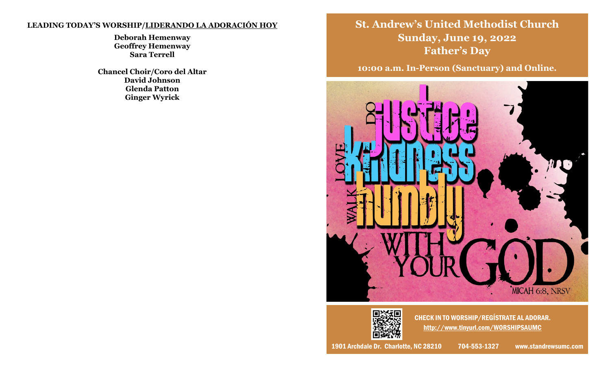# **LEADING TODAY'S WORSHIP/LIDERANDO LA ADORACIÓN HOY**

**Deborah Hemenway Geoffrey Hemenway Sara Terrell**

**Chancel Choir/Coro del Altar David Johnson Glenda Patton Ginger Wyrick**

**St. Andrew's United Methodist Church Sunday, June 19, 2022 Father's Day**

**10:00 a.m. In-Person (Sanctuary) and Online.**





CHECK IN TO WORSHIP/REGÍSTRATE AL ADORAR. [http://www.tinyurl.com/WORSHIPSAUMC](http://www.standrewsumc.com)

1901 Archdale Dr. Charlotte, NC 28210 704-553-1327 www.standrewsumc.com